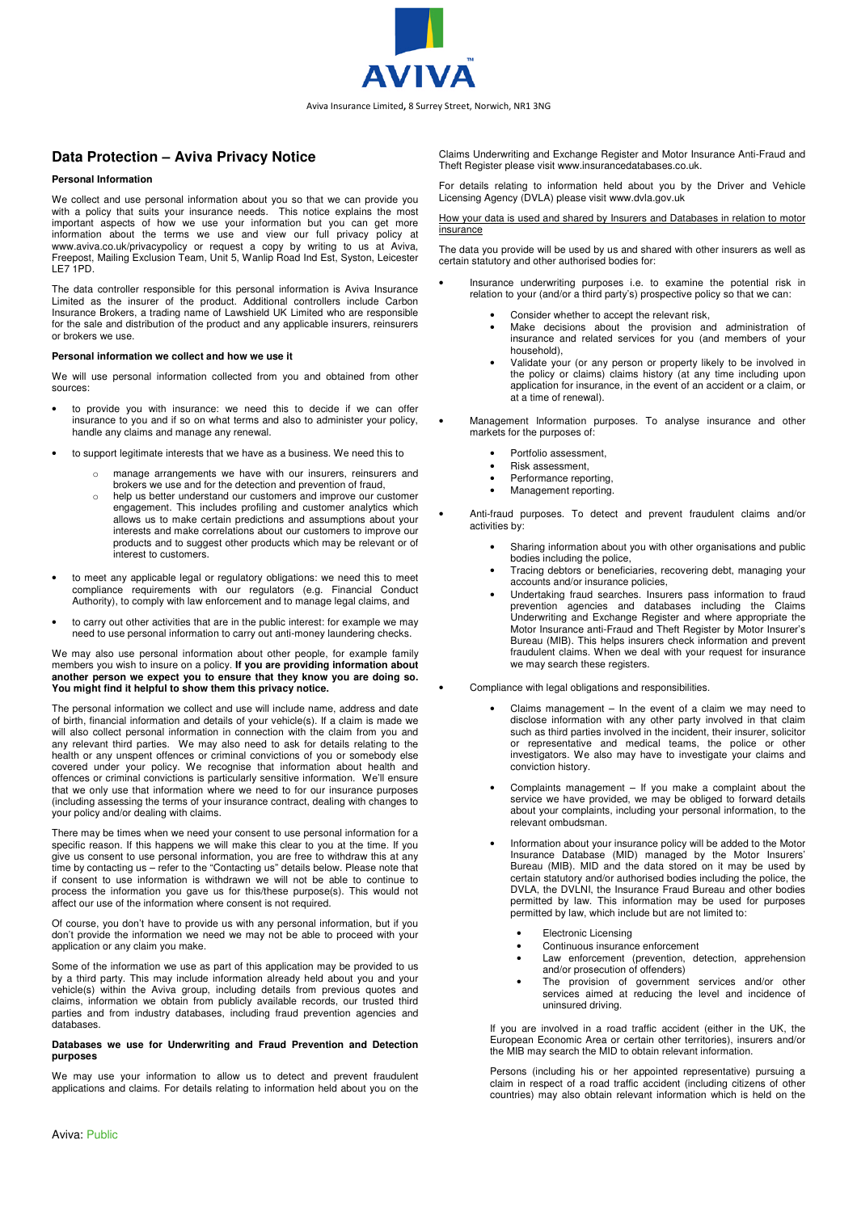

# **Data Protection – Aviva Privacy Notice**

# **Personal Information**

We collect and use personal information about you so that we can provide you with a policy that suits your insurance needs. This notice explains the most important aspects of how we use your information but you can get more information about the terms we use and view our full privacy policy at www.aviva.co.uk/privacypolicy or request a copy by writing to us at Aviva, Freepost, Mailing Exclusion Team, Unit 5, Wanlip Road Ind Est, Syston, Leicester LE7 1PD.

The data controller responsible for this personal information is Aviva Insurance Limited as the insurer of the product. Additional controllers include Carbon Insurance Brokers, a trading name of Lawshield UK Limited who are responsible for the sale and distribution of the product and any applicable insurers, reinsurers or brokers we use.

# **Personal information we collect and how we use it**

We will use personal information collected from you and obtained from other sources:

- to provide you with insurance: we need this to decide if we can offer insurance to you and if so on what terms and also to administer your policy, handle any claims and manage any renewal.
- to support legitimate interests that we have as a business. We need this to
	- o manage arrangements we have with our insurers, reinsurers and brokers we use and for the detection and prevention of fraud,
	- help us better understand our customers and improve our customer engagement. This includes profiling and customer analytics which allows us to make certain predictions and assumptions about your interests and make correlations about our customers to improve our products and to suggest other products which may be relevant or of interest to customers.
- to meet any applicable legal or regulatory obligations: we need this to meet compliance requirements with our regulators (e.g. Financial Conduct Authority), to comply with law enforcement and to manage legal claims, and
- to carry out other activities that are in the public interest: for example we may need to use personal information to carry out anti-money laundering checks.

We may also use personal information about other people, for example family members you wish to insure on a policy. **If you are providing information about another person we expect you to ensure that they know you are doing so. You might find it helpful to show them this privacy notice.**

The personal information we collect and use will include name, address and date of birth, financial information and details of your vehicle(s). If a claim is made we will also collect personal information in connection with the claim from you and any relevant third parties. We may also need to ask for details relating to the health or any unspent offences or criminal convictions of you or somebody else covered under your policy. We recognise that information about health and offences or criminal convictions is particularly sensitive information. We'll ensure that we only use that information where we need to for our insurance purposes (including assessing the terms of your insurance contract, dealing with changes to your policy and/or dealing with claims.

There may be times when we need your consent to use personal information for a specific reason. If this happens we will make this clear to you at the time. If you give us consent to use personal information, you are free to withdraw this at any time by contacting us – refer to the "Contacting us" details below. Please note that if consent to use information is withdrawn we will not be able to continue to process the information you gave us for this/these purpose(s). This would not affect our use of the information where consent is not required.

Of course, you don't have to provide us with any personal information, but if you don't provide the information we need we may not be able to proceed with your application or any claim you make.

Some of the information we use as part of this application may be provided to us by a third party. This may include information already held about you and your vehicle(s) within the Aviva group, including details from previous quotes and claims, information we obtain from publicly available records, our trusted third parties and from industry databases, including fraud prevention agencies and databases.

# **Databases we use for Underwriting and Fraud Prevention and Detection purposes**

We may use your information to allow us to detect and prevent fraudulent applications and claims. For details relating to information held about you on the Claims Underwriting and Exchange Register and Motor Insurance Anti-Fraud and Theft Register please visit www.insurancedatabases.co.uk.

For details relating to information held about you by the Driver and Vehicle Licensing Agency (DVLA) please visit www.dvla.gov.uk

How your data is used and shared by Insurers and Databases in relation to motor insurance

The data you provide will be used by us and shared with other insurers as well as certain statutory and other authorised bodies for:

- Insurance underwriting purposes i.e. to examine the potential risk in relation to your (and/or a third party's) prospective policy so that we can:
	- Consider whether to accept the relevant risk,
	- Make decisions about the provision and administration of insurance and related services for you (and members of your household),
	- Validate your (or any person or property likely to be involved in the policy or claims) claims history (at any time including upon application for insurance, in the event of an accident or a claim, or at a time of renewal).
- Management Information purposes. To analyse insurance and other markets for the purposes of:
	- Portfolio assessment
	- Risk assessment,
	- Performance reporting
	- Management reporting.
	- Anti-fraud purposes. To detect and prevent fraudulent claims and/or activities by:
		- Sharing information about you with other organisations and public bodies including the police,
		- Tracing debtors or beneficiaries, recovering debt, managing your accounts and/or insurance policies,
		- Undertaking fraud searches. Insurers pass information to fraud prevention agencies and databases including the Claims Underwriting and Exchange Register and where appropriate the Motor Insurance anti-Fraud and Theft Register by Motor Insurer's Bureau (MIB). This helps insurers check information and prevent fraudulent claims. When we deal with your request for insurance we may search these registers.
	- Compliance with legal obligations and responsibilities.
		- Claims management  $-$  In the event of a claim we may need to disclose information with any other party involved in that claim such as third parties involved in the incident, their insurer, solicitor or representative and medical teams, the police or other investigators. We also may have to investigate your claims and conviction history.
		- Complaints management  $-$  If you make a complaint about the service we have provided, we may be obliged to forward details about your complaints, including your personal information, to the relevant ombudsman.
		- Information about your insurance policy will be added to the Motor Insurance Database (MID) managed by the Motor Insurers' Bureau (MIB). MID and the data stored on it may be used by certain statutory and/or authorised bodies including the police, the DVLA, the DVLNI, the Insurance Fraud Bureau and other bodies permitted by law. This information may be used for purposes permitted by law, which include but are not limited to:
			- Electronic Licensing
			- Continuous insurance enforcement
			- Law enforcement (prevention, detection, apprehension and/or prosecution of offenders)
			- The provision of government services and/or other services aimed at reducing the level and incidence of uninsured driving.

If you are involved in a road traffic accident (either in the UK, the European Economic Area or certain other territories), insurers and/or the MIB may search the MID to obtain relevant information.

Persons (including his or her appointed representative) pursuing a claim in respect of a road traffic accident (including citizens of other countries) may also obtain relevant information which is held on the